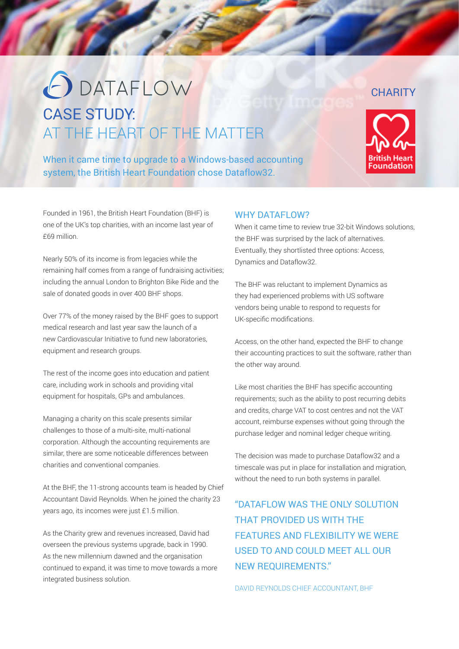# O DATAFLOW CASE STUDY: AT THE HEART OF THE MATTER

When it came time to upgrade to a Windows-based accounting system, the British Heart Foundation chose Dataflow32.

## WHY DATAFLOW?

When it came time to review true 32-bit Windows solutions. the BHF was surprised by the lack of alternatives. Eventually, they shortlisted three options: Access, Dynamics and Dataflow32.

The BHF was reluctant to implement Dynamics as they had experienced problems with US software vendors being unable to respond to requests for UK-specific modifications.

Access, on the other hand, expected the BHF to change their accounting practices to suit the software, rather than the other way around.

Like most charities the BHF has specific accounting requirements; such as the ability to post recurring debits and credits, charge VAT to cost centres and not the VAT account, reimburse expenses without going through the purchase ledger and nominal ledger cheque writing.

The decision was made to purchase Dataflow32 and a timescale was put in place for installation and migration, without the need to run both systems in parallel.

# "DATAFLOW WAS THE ONLY SOLUTION THAT PROVIDED US WITH THE FEATURES AND FLEXIBILITY WE WERE USED TO AND COULD MEET ALL OUR NEW REQUIREMENTS."

DAVID REYNOLDS CHIEF ACCOUNTANT, BHF

### Founded in 1961, the British Heart Foundation (BHF) is one of the UK's top charities, with an income last year of £69 million.

Nearly 50% of its income is from legacies while the remaining half comes from a range of fundraising activities; including the annual London to Brighton Bike Ride and the sale of donated goods in over 400 BHF shops.

Over 77% of the money raised by the BHF goes to support medical research and last year saw the launch of a new Cardiovascular Initiative to fund new laboratories, equipment and research groups.

The rest of the income goes into education and patient care, including work in schools and providing vital equipment for hospitals, GPs and ambulances.

Managing a charity on this scale presents similar challenges to those of a multi-site, multi-national corporation. Although the accounting requirements are similar, there are some noticeable differences between charities and conventional companies.

At the BHF, the 11-strong accounts team is headed by Chief Accountant David Reynolds. When he joined the charity 23 years ago, its incomes were just £1.5 million.

As the Charity grew and revenues increased, David had overseen the previous systems upgrade, back in 1990. As the new millennium dawned and the organisation continued to expand, it was time to move towards a more integrated business solution.

# **CHARITY**